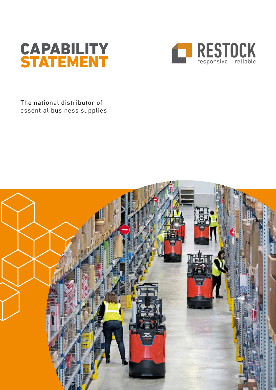



The national distributor of essential business supplies

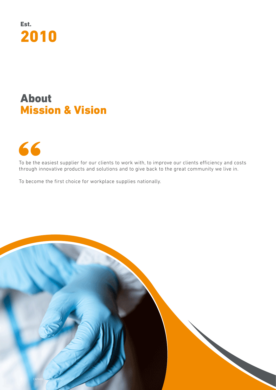

### About Mission & Vision





To be the easiest supplier for our clients to work with, to improve our clients efficiency and costs through innovative products and solutions and to give back to the great community we live in.

To become the first choice for workplace supplies nationally.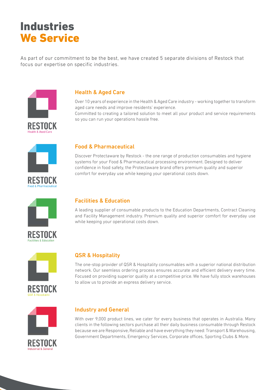# Industries We Service

As part of our commitment to be the best, we have created 5 separate divisions of Restock that focus our expertise on specific industries.



### Health & Aged Care

Over 10 years of experience in the Health & Aged Care industry - working together to transform aged care needs and improve residents' experience. Committed to creating a tailored solution to meet all your product and service requirements so you can run your operations hassle free.



### Food & Pharmaceutical

Discover Protectaware by Restock - the one range of production consumables and hygiene systems for your Food & Pharmaceutical processing environment. Designed to deliver confidence in food safety, the Protectaware brand offers premium quality and superior comfort for everyday use while keeping your operational costs down.



### Facilities & Education

A leading supplier of consumable products to the Education Departments, Contract Cleaning and Facility Management industry. Premium quality and superior comfort for everyday use while keeping your operational costs down.



### QSR & Hospitality

The one-stop provider of QSR & Hospitality consumables with a superior national distribution network. Our seemless ordering process ensures accurate and efficient delivery every time. Focused on providing superior quality at a competitive price. We have fully stock warehouses to allow us to provide an express delivery service.





### Industry and General

With over 9,000 product lines, we cater for every business that operates in Australia. Many clients in the following sectors purchase all their daily business consumable through Restock because we are Responsive, Reliable and have everything they need: Transport & Warehousing, Government Departments, Emergency Services, Corporate offices, Sporting Clubs & More.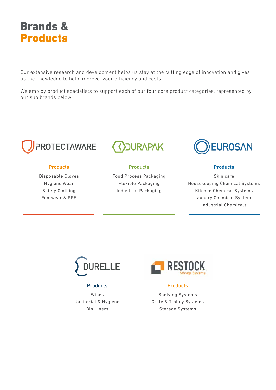Shelving Systems Crate & Trolley Systems Storage Systems

### Brands & Products

Our extensive research and development helps us stay at the cutting edge of innovation and gives us the knowledge to help improve your efficiency and costs.

We employ product specialists to support each of our four core product categories, represented by our sub brands below.





### **Products**

Disposable Gloves Hygiene Wear Safety Clothing Footwear & PPE

### **Products**

Wipes Janitorial & Hygiene Bin Liners

Skin care Housekeeping Chemical Systems Kitchen Chemical Systems Laundry Chemical Systems Industrial Chemicals



**Products** 



**Products** 

Food Process Packaging Flexible Packaging Industrial Packaging



#### **Products**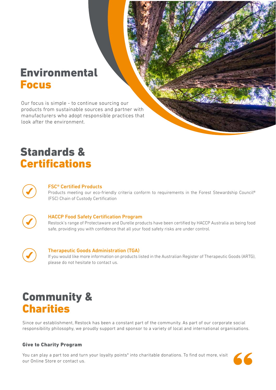### Environmental Focus

### Standards & Certifications



Our focus is simple - to continue sourcing our products from sustainable sources and partner with manufacturers who adopt responsible practices that look after the environment.

#### FSC® Certified Products

Products meeting our eco-friendly criteria conform to requirements in the Forest Stewardship Council® (FSC) Chain of Custody Certification



#### HACCP Food Safety Certification Program

Restock's range of Protectaware and Durelle products have been certified by HACCP Australia as being food safe, providing you with confidence that all your food safety risks are under control.



#### Therapeutic Goods Administration (TGA)

If you would like more information on products listed in the Australian Register of Therapeutic Goods (ARTG), please do not hesitate to contact us.

Since our establishment, Restock has been a constant part of the community. As part of our corporate social responsibility philosophy, we proudly support and sponsor to a variety of local and international organisations.

You can play a part too and turn your loyalty points\* into charitable donations. To find out more, visit our Online Store or contact us.



### Community & Charities

#### Give to Charity Program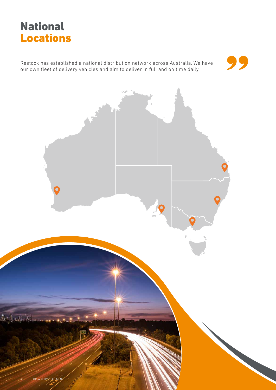

# National Locations

Restock has established a national distribution network across Australia. We have our own fleet of delivery vehicles and aim to deliver in full and on time daily.



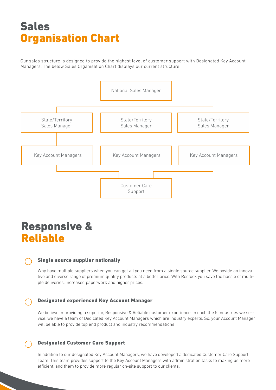Our sales structure is designed to provide the highest level of customer support with Designated Key Account Managers. The below Sales Organisation Chart displays our current structure.

# Sales Organisation Chart



### Responsive & Reliable

Why have multiple suppliers when you can get all you need from a single source supplier. We povide an innovative and diverse range of premium quality products at a better price. With Restock you save the hassle of multiple deliveries, increased paperwork and higher prices.



### Single source supplier nationally

In addition to our designated Key Account Managers, we have developed a dedicated Customer Care Support Team. This team provides support to the Key Account Managers with administration tasks to making us more efficient, and them to provide more regular on-site support to our clients.



We believe in providing a superior, Responsive & Reliable customer experience. In each the 5 Industries we service, we have a team of Dedicated Key Account Managers which are industry experts. So, your Account Manager will be able to provide top end product and industry recommendations

### Designated experienced Key Account Manager